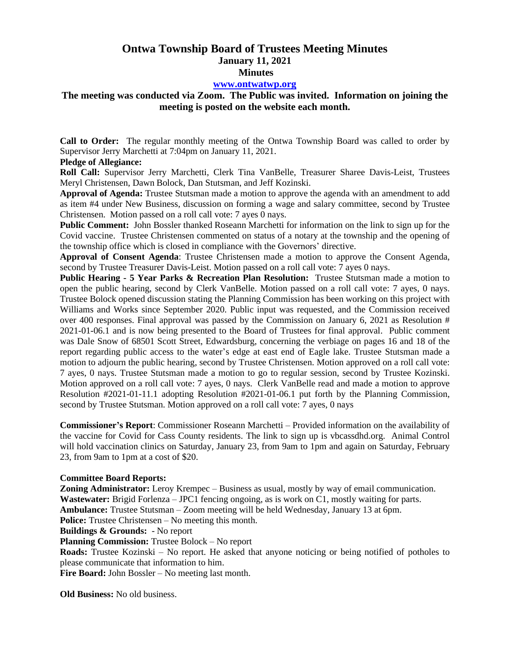# **Ontwa Township Board of Trustees Meeting Minutes January 11, 2021 Minutes**

### **[www.ontwatwp.org](http://www.ontwatwp.org/)**

# **The meeting was conducted via Zoom. The Public was invited. Information on joining the meeting is posted on the website each month.**

**Call to Order:** The regular monthly meeting of the Ontwa Township Board was called to order by Supervisor Jerry Marchetti at 7:04pm on January 11, 2021.

### **Pledge of Allegiance:**

**Roll Call:** Supervisor Jerry Marchetti, Clerk Tina VanBelle, Treasurer Sharee Davis-Leist, Trustees Meryl Christensen, Dawn Bolock, Dan Stutsman, and Jeff Kozinski.

**Approval of Agenda:** Trustee Stutsman made a motion to approve the agenda with an amendment to add as item #4 under New Business, discussion on forming a wage and salary committee, second by Trustee Christensen. Motion passed on a roll call vote: 7 ayes 0 nays.

**Public Comment:** John Bossler thanked Roseann Marchetti for information on the link to sign up for the Covid vaccine. Trustee Christensen commented on status of a notary at the township and the opening of the township office which is closed in compliance with the Governors' directive.

**Approval of Consent Agenda**: Trustee Christensen made a motion to approve the Consent Agenda, second by Trustee Treasurer Davis-Leist. Motion passed on a roll call vote: 7 ayes 0 nays.

**Public Hearing - 5 Year Parks & Recreation Plan Resolution:** Trustee Stutsman made a motion to open the public hearing, second by Clerk VanBelle. Motion passed on a roll call vote: 7 ayes, 0 nays. Trustee Bolock opened discussion stating the Planning Commission has been working on this project with Williams and Works since September 2020. Public input was requested, and the Commission received over 400 responses. Final approval was passed by the Commission on January 6, 2021 as Resolution # 2021-01-06.1 and is now being presented to the Board of Trustees for final approval. Public comment was Dale Snow of 68501 Scott Street, Edwardsburg, concerning the verbiage on pages 16 and 18 of the report regarding public access to the water's edge at east end of Eagle lake. Trustee Stutsman made a motion to adjourn the public hearing, second by Trustee Christensen. Motion approved on a roll call vote: 7 ayes, 0 nays. Trustee Stutsman made a motion to go to regular session, second by Trustee Kozinski. Motion approved on a roll call vote: 7 ayes, 0 nays. Clerk VanBelle read and made a motion to approve Resolution #2021-01-11.1 adopting Resolution #2021-01-06.1 put forth by the Planning Commission, second by Trustee Stutsman. Motion approved on a roll call vote: 7 ayes, 0 nays

**Commissioner's Report**: Commissioner Roseann Marchetti – Provided information on the availability of the vaccine for Covid for Cass County residents. The link to sign up is vbcassdhd.org. Animal Control will hold vaccination clinics on Saturday, January 23, from 9am to 1pm and again on Saturday, February 23, from 9am to 1pm at a cost of \$20.

### **Committee Board Reports:**

**Zoning Administrator:** Leroy Krempec – Business as usual, mostly by way of email communication. **Wastewater:** Brigid Forlenza – JPC1 fencing ongoing, as is work on C1, mostly waiting for parts. **Ambulance:** Trustee Stutsman – Zoom meeting will be held Wednesday, January 13 at 6pm. **Police:** Trustee Christensen – No meeting this month. **Buildings & Grounds:** - No report **Planning Commission:** Trustee Bolock – No report **Roads:** Trustee Kozinski – No report. He asked that anyone noticing or being notified of potholes to please communicate that information to him.

**Fire Board:** John Bossler – No meeting last month.

**Old Business:** No old business.